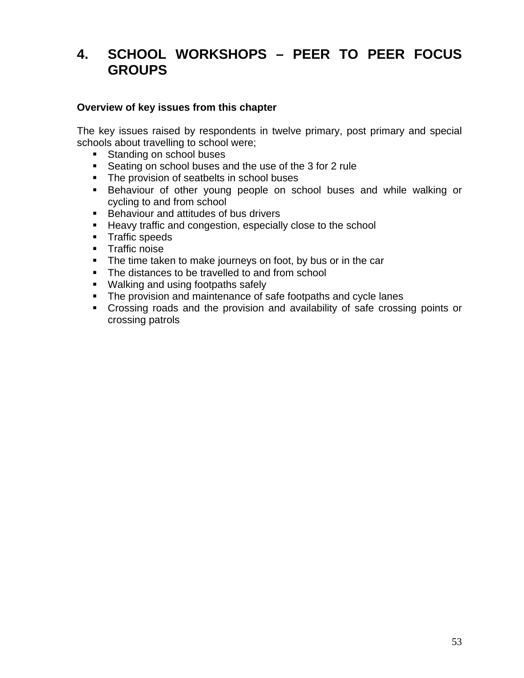# **4. SCHOOL WORKSHOPS – PEER TO PEER FOCUS GROUPS**

#### **Overview of key issues from this chapter**

The key issues raised by respondents in twelve primary, post primary and special schools about travelling to school were;

- Standing on school buses
- Seating on school buses and the use of the 3 for 2 rule
- The provision of seatbelts in school buses
- **Behaviour of other young people on school buses and while walking or** cycling to and from school
- **Behaviour and attitudes of bus drivers**
- **Heavy traffic and congestion, especially close to the school**
- **Traffic speeds**
- **Traffic noise**
- The time taken to make journeys on foot, by bus or in the car
- The distances to be travelled to and from school
- **Walking and using footpaths safely**
- The provision and maintenance of safe footpaths and cycle lanes
- Crossing roads and the provision and availability of safe crossing points or crossing patrols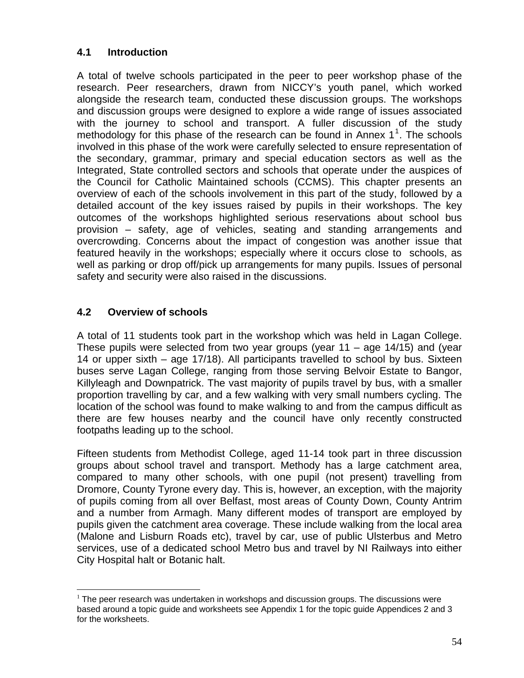# **4.1 Introduction**

A total of twelve schools participated in the peer to peer workshop phase of the research. Peer researchers, drawn from NICCY's youth panel, which worked alongside the research team, conducted these discussion groups. The workshops and discussion groups were designed to explore a wide range of issues associated with the journey to school and transport. A fuller discussion of the study methodology for this phase of the research can be found in Annex  $1<sup>1</sup>$  $1<sup>1</sup>$ . The schools involved in this phase of the work were carefully selected to ensure representation of the secondary, grammar, primary and special education sectors as well as the Integrated, State controlled sectors and schools that operate under the auspices of the Council for Catholic Maintained schools (CCMS). This chapter presents an overview of each of the schools involvement in this part of the study, followed by a detailed account of the key issues raised by pupils in their workshops. The key outcomes of the workshops highlighted serious reservations about school bus provision – safety, age of vehicles, seating and standing arrangements and overcrowding. Concerns about the impact of congestion was another issue that featured heavily in the workshops; especially where it occurs close to schools, as well as parking or drop off/pick up arrangements for many pupils. Issues of personal safety and security were also raised in the discussions.

# **4.2 Overview of schools**

A total of 11 students took part in the workshop which was held in Lagan College. These pupils were selected from two year groups (year 11 – age 14/15) and (year 14 or upper sixth – age 17/18). All participants travelled to school by bus. Sixteen buses serve Lagan College, ranging from those serving Belvoir Estate to Bangor, Killyleagh and Downpatrick. The vast majority of pupils travel by bus, with a smaller proportion travelling by car, and a few walking with very small numbers cycling. The location of the school was found to make walking to and from the campus difficult as there are few houses nearby and the council have only recently constructed footpaths leading up to the school.

Fifteen students from Methodist College, aged 11-14 took part in three discussion groups about school travel and transport. Methody has a large catchment area, compared to many other schools, with one pupil (not present) travelling from Dromore, County Tyrone every day. This is, however, an exception, with the majority of pupils coming from all over Belfast, most areas of County Down, County Antrim and a number from Armagh. Many different modes of transport are employed by pupils given the catchment area coverage. These include walking from the local area (Malone and Lisburn Roads etc), travel by car, use of public Ulsterbus and Metro services, use of a dedicated school Metro bus and travel by NI Railways into either City Hospital halt or Botanic halt.

<span id="page-1-0"></span> $\overline{a}$  $1$  The peer research was undertaken in workshops and discussion groups. The discussions were based around a topic guide and worksheets see Appendix 1 for the topic guide Appendices 2 and 3 for the worksheets.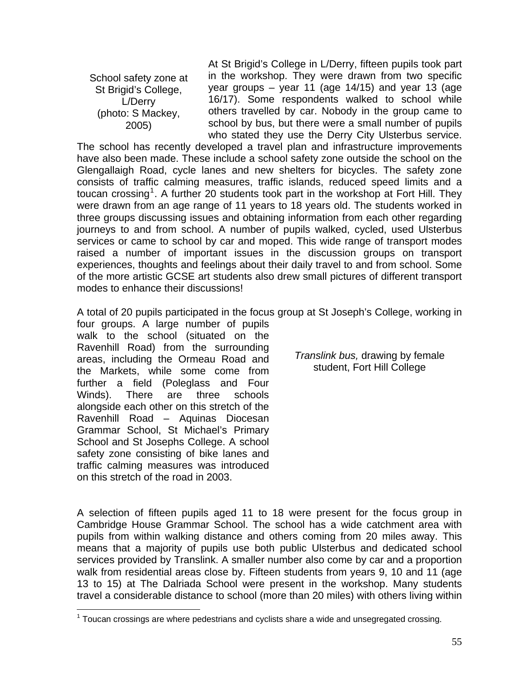School safety zone at St Brigid's College, L/Derry (photo: S Mackey, 2005)

At St Brigid's College in L/Derry, fifteen pupils took part in the workshop. They were drawn from two specific year groups  $-$  year 11 (age 14/15) and year 13 (age 16/17). Some respondents walked to school while others travelled by car. Nobody in the group came to school by bus, but there were a small number of pupils who stated they use the Derry City Ulsterbus service.

The school has recently developed a travel plan and infrastructure improvements have also been made. These include a school safety zone outside the school on the Glengallaigh Road, cycle lanes and new shelters for bicycles. The safety zone consists of traffic calming measures, traffic islands, reduced speed limits and a toucan crossing<sup>[1](#page-2-0)</sup>. A further 20 students took part in the workshop at Fort Hill. They were drawn from an age range of 11 years to 18 years old. The students worked in three groups discussing issues and obtaining information from each other regarding journeys to and from school. A number of pupils walked, cycled, used Ulsterbus services or came to school by car and moped. This wide range of transport modes raised a number of important issues in the discussion groups on transport experiences, thoughts and feelings about their daily travel to and from school. Some of the more artistic GCSE art students also drew small pictures of different transport modes to enhance their discussions!

A total of 20 pupils participated in the focus group at St Joseph's College, working in

four groups. A large number of pupils walk to the school (situated on the Ravenhill Road) from the surrounding areas, including the Ormeau Road and the Markets, while some come from further a field (Poleglass and Four Winds). There are three schools alongside each other on this stretch of the Ravenhill Road – Aquinas Diocesan Grammar School, St Michael's Primary School and St Josephs College. A school safety zone consisting of bike lanes and traffic calming measures was introduced on this stretch of the road in 2003.

*Translink bus,* drawing by female student, Fort Hill College

A selection of fifteen pupils aged 11 to 18 were present for the focus group in Cambridge House Grammar School. The school has a wide catchment area with pupils from within walking distance and others coming from 20 miles away. This means that a majority of pupils use both public Ulsterbus and dedicated school services provided by Translink. A smaller number also come by car and a proportion walk from residential areas close by. Fifteen students from years 9, 10 and 11 (age 13 to 15) at The Dalriada School were present in the workshop. Many students travel a considerable distance to school (more than 20 miles) with others living within

<span id="page-2-0"></span><sup>————————————————————&</sup>lt;br><sup>1</sup> Toucan crossings are where pedestrians and cyclists share a wide and unsegregated crossing.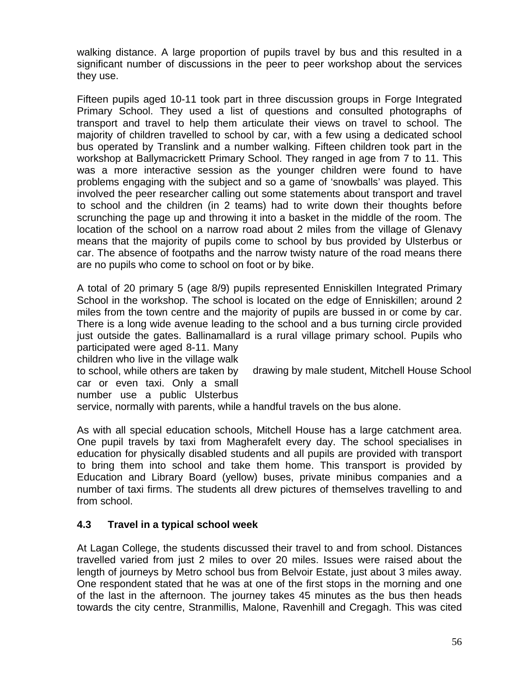walking distance. A large proportion of pupils travel by bus and this resulted in a significant number of discussions in the peer to peer workshop about the services they use.

Fifteen pupils aged 10-11 took part in three discussion groups in Forge Integrated Primary School. They used a list of questions and consulted photographs of transport and travel to help them articulate their views on travel to school. The majority of children travelled to school by car, with a few using a dedicated school bus operated by Translink and a number walking. Fifteen children took part in the workshop at Ballymacrickett Primary School. They ranged in age from 7 to 11. This was a more interactive session as the younger children were found to have problems engaging with the subject and so a game of 'snowballs' was played. This involved the peer researcher calling out some statements about transport and travel to school and the children (in 2 teams) had to write down their thoughts before scrunching the page up and throwing it into a basket in the middle of the room. The location of the school on a narrow road about 2 miles from the village of Glenavy means that the majority of pupils come to school by bus provided by Ulsterbus or car. The absence of footpaths and the narrow twisty nature of the road means there are no pupils who come to school on foot or by bike.

A total of 20 primary 5 (age 8/9) pupils represented Enniskillen Integrated Primary School in the workshop. The school is located on the edge of Enniskillen; around 2 miles from the town centre and the majority of pupils are bussed in or come by car. There is a long wide avenue leading to the school and a bus turning circle provided just outside the gates. Ballinamallard is a rural village primary school. Pupils who participated were aged 8-11. Many

children who live in the village walk to school, while others are taken by

drawing by male student, Mitchell House School

car or even taxi. Only a small number use a public Ulsterbus

service, normally with parents, while a handful travels on the bus alone.

As with all special education schools, Mitchell House has a large catchment area. One pupil travels by taxi from Magherafelt every day. The school specialises in education for physically disabled students and all pupils are provided with transport to bring them into school and take them home. This transport is provided by Education and Library Board (yellow) buses, private minibus companies and a number of taxi firms. The students all drew pictures of themselves travelling to and from school.

# **4.3 Travel in a typical school week**

At Lagan College, the students discussed their travel to and from school. Distances travelled varied from just 2 miles to over 20 miles. Issues were raised about the length of journeys by Metro school bus from Belvoir Estate, just about 3 miles away. One respondent stated that he was at one of the first stops in the morning and one of the last in the afternoon. The journey takes 45 minutes as the bus then heads towards the city centre, Stranmillis, Malone, Ravenhill and Cregagh. This was cited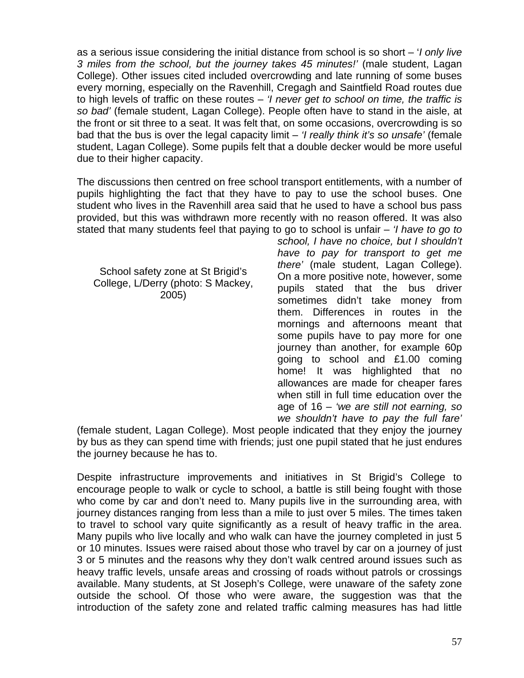as a serious issue considering the initial distance from school is so short – '*I only live 3 miles from the school, but the journey takes 45 minutes!'* (male student, Lagan College). Other issues cited included overcrowding and late running of some buses every morning, especially on the Ravenhill, Cregagh and Saintfield Road routes due to high levels of traffic on these routes – *'I never get to school on time, the traffic is so bad'* (female student, Lagan College). People often have to stand in the aisle, at the front or sit three to a seat. It was felt that, on some occasions, overcrowding is so bad that the bus is over the legal capacity limit – *'I really think it's so unsafe'* (female student, Lagan College). Some pupils felt that a double decker would be more useful due to their higher capacity.

The discussions then centred on free school transport entitlements, with a number of pupils highlighting the fact that they have to pay to use the school buses. One student who lives in the Ravenhill area said that he used to have a school bus pass provided, but this was withdrawn more recently with no reason offered. It was also stated that many students feel that paying to go to school is unfair – *'I have to go to* 

School safety zone at St Brigid's College, L/Derry (photo: S Mackey, 2005)

*school, I have no choice, but I shouldn't have to pay for transport to get me there'* (male student, Lagan College). On a more positive note, however, some pupils stated that the bus driver sometimes didn't take money from them. Differences in routes in the mornings and afternoons meant that some pupils have to pay more for one journey than another, for example 60p going to school and £1.00 coming home! It was highlighted that no allowances are made for cheaper fares when still in full time education over the age of 16 – *'we are still not earning, so we shouldn't have to pay the full fare'*

(female student, Lagan College). Most people indicated that they enjoy the journey by bus as they can spend time with friends; just one pupil stated that he just endures the journey because he has to.

Despite infrastructure improvements and initiatives in St Brigid's College to encourage people to walk or cycle to school, a battle is still being fought with those who come by car and don't need to. Many pupils live in the surrounding area, with journey distances ranging from less than a mile to just over 5 miles. The times taken to travel to school vary quite significantly as a result of heavy traffic in the area. Many pupils who live locally and who walk can have the journey completed in just 5 or 10 minutes. Issues were raised about those who travel by car on a journey of just 3 or 5 minutes and the reasons why they don't walk centred around issues such as heavy traffic levels, unsafe areas and crossing of roads without patrols or crossings available. Many students, at St Joseph's College, were unaware of the safety zone outside the school. Of those who were aware, the suggestion was that the introduction of the safety zone and related traffic calming measures has had little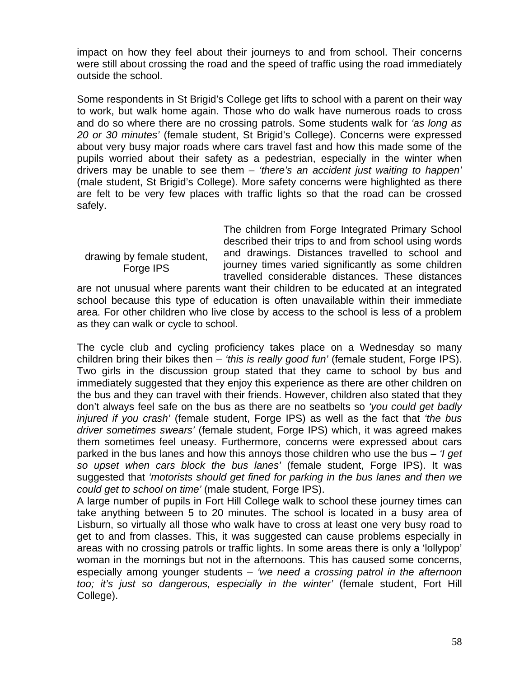impact on how they feel about their journeys to and from school. Their concerns were still about crossing the road and the speed of traffic using the road immediately outside the school.

Some respondents in St Brigid's College get lifts to school with a parent on their way to work, but walk home again. Those who do walk have numerous roads to cross and do so where there are no crossing patrols. Some students walk for *'as long as 20 or 30 minutes'* (female student, St Brigid's College). Concerns were expressed about very busy major roads where cars travel fast and how this made some of the pupils worried about their safety as a pedestrian, especially in the winter when drivers may be unable to see them – *'there's an accident just waiting to happen'* (male student, St Brigid's College). More safety concerns were highlighted as there are felt to be very few places with traffic lights so that the road can be crossed safely.

drawing by female student, Forge IPS

The children from Forge Integrated Primary School described their trips to and from school using words and drawings. Distances travelled to school and journey times varied significantly as some children travelled considerable distances. These distances

are not unusual where parents want their children to be educated at an integrated school because this type of education is often unavailable within their immediate area. For other children who live close by access to the school is less of a problem as they can walk or cycle to school.

The cycle club and cycling proficiency takes place on a Wednesday so many children bring their bikes then – *'this is really good fun'* (female student, Forge IPS). Two girls in the discussion group stated that they came to school by bus and immediately suggested that they enjoy this experience as there are other children on the bus and they can travel with their friends. However, children also stated that they don't always feel safe on the bus as there are no seatbelts so *'you could get badly injured if you crash'* (female student, Forge IPS) as well as the fact that *'the bus driver sometimes swears'* (female student, Forge IPS) which, it was agreed makes them sometimes feel uneasy. Furthermore, concerns were expressed about cars parked in the bus lanes and how this annoys those children who use the bus – *'I get so upset when cars block the bus lanes'* (female student, Forge IPS). It was suggested that *'motorists should get fined for parking in the bus lanes and then we could get to school on time'* (male student, Forge IPS).

A large number of pupils in Fort Hill College walk to school these journey times can take anything between 5 to 20 minutes. The school is located in a busy area of Lisburn, so virtually all those who walk have to cross at least one very busy road to get to and from classes. This, it was suggested can cause problems especially in areas with no crossing patrols or traffic lights. In some areas there is only a 'lollypop' woman in the mornings but not in the afternoons. This has caused some concerns, especially among younger students – *'we need a crossing patrol in the afternoon too; it's just so dangerous, especially in the winter'* (female student, Fort Hill College).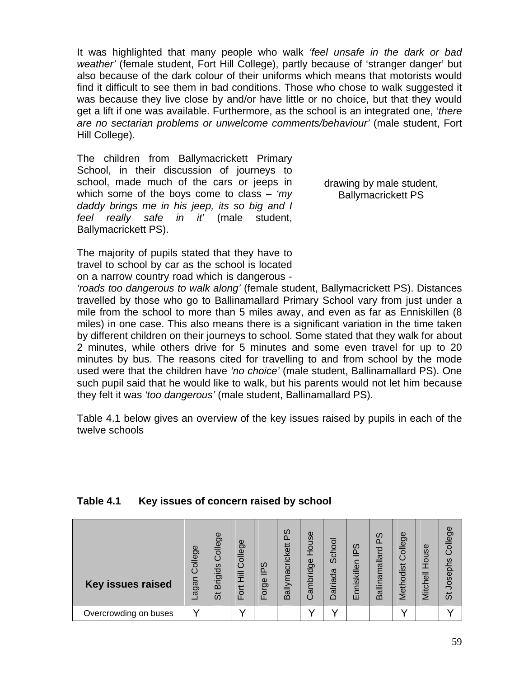It was highlighted that many people who walk *'feel unsafe in the dark or bad weather'* (female student, Fort Hill College), partly because of 'stranger danger' but also because of the dark colour of their uniforms which means that motorists would find it difficult to see them in bad conditions. Those who chose to walk suggested it was because they live close by and/or have little or no choice, but that they would get a lift if one was available. Furthermore, as the school is an integrated one, '*there are no sectarian problems or unwelcome comments/behaviour'* (male student, Fort Hill College).

The children from Ballymacrickett Primary School, in their discussion of journeys to school, made much of the cars or jeeps in which some of the boys come to class – *'my daddy brings me in his jeep, its so big and I feel really safe in it'* (male student, Ballymacrickett PS).

drawing by male student, Ballymacrickett PS

The majority of pupils stated that they have to travel to school by car as the school is located on a narrow country road which is dangerous -

*'roads too dangerous to walk along'* (female student, Ballymacrickett PS). Distances travelled by those who go to Ballinamallard Primary School vary from just under a mile from the school to more than 5 miles away, and even as far as Enniskillen (8 miles) in one case. This also means there is a significant variation in the time taken by different children on their journeys to school. Some stated that they walk for about 2 minutes, while others drive for 5 minutes and some even travel for up to 20 minutes by bus. The reasons cited for travelling to and from school by the mode used were that the children have *'no choice'* (male student, Ballinamallard PS). One such pupil said that he would like to walk, but his parents would not let him because they felt it was *'too dangerous'* (male student, Ballinamallard PS).

Table 4.1 below gives an overview of the key issues raised by pupils in each of the twelve schools

#### **Table 4.1 Key issues of concern raised by school**

| <b>Key issues raised</b> | College<br>nagan | College<br><b>Brigids</b><br>້ ທີ | College<br>目<br>Fot | ഗ<br>흔<br>Forge | S<br>kett<br>$\overline{c}$<br>ಠ<br>ά<br>allyr<br>ന | House<br>ambridge<br>$\mathfrak{c}$ | School<br>Dalriada | Sdl<br>nniskillen<br>ш | PS<br>allinamallard<br>m | ወ<br>olleg<br>odist<br>eth<br>ž | House<br>Mitchell | College<br>Josephs<br>້ທີ |
|--------------------------|------------------|-----------------------------------|---------------------|-----------------|-----------------------------------------------------|-------------------------------------|--------------------|------------------------|--------------------------|---------------------------------|-------------------|---------------------------|
| Overcrowding on buses    |                  |                                   |                     |                 |                                                     |                                     |                    |                        |                          |                                 |                   |                           |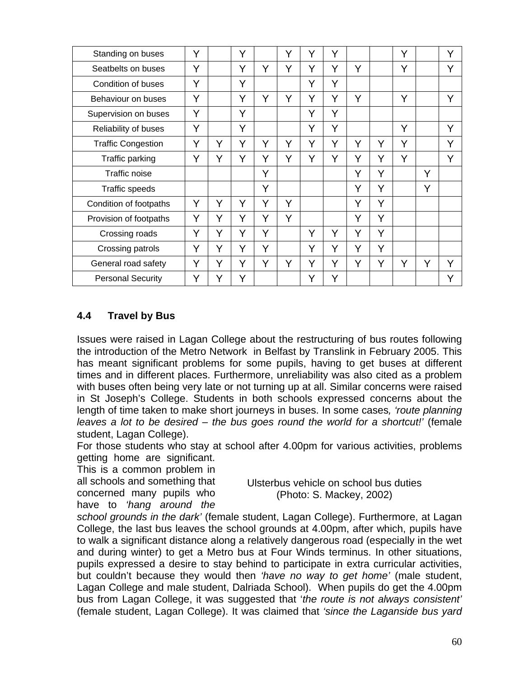| Standing on buses         | Y |   | Y |   | Y | Υ | Y |   |   | Y |   | Y |
|---------------------------|---|---|---|---|---|---|---|---|---|---|---|---|
| Seatbelts on buses        | Y |   | Y | Y | Y | Y | Y | Y |   | Y |   | Y |
| Condition of buses        | Y |   | Y |   |   | Y | Ý |   |   |   |   |   |
| Behaviour on buses        | Y |   | Y | Y | Y | Y | Y | Y |   | Y |   | Y |
| Supervision on buses      | Y |   | Y |   |   | Y | Y |   |   |   |   |   |
| Reliability of buses      | Y |   | Y |   |   | Y | Y |   |   | Y |   | Y |
| <b>Traffic Congestion</b> | Y | Υ | Y | Y | Y | Y | Y | Y | Y | Y |   | Y |
| Traffic parking           | Y | Y | Y | Y | Y | Y | Ý | Y | Υ | Y |   | Y |
| <b>Traffic noise</b>      |   |   |   | Y |   |   |   | Y | Y |   | Y |   |
| Traffic speeds            |   |   |   | Y |   |   |   | Y | Y |   | Y |   |
| Condition of footpaths    | Y | Y | Y | Υ | Y |   |   | Y | Y |   |   |   |
| Provision of footpaths    | Y | Y | Y | Y | Y |   |   | Y | Y |   |   |   |
| Crossing roads            | Y | Y | Y | Y |   | Y | Y | Υ | Y |   |   |   |
| Crossing patrols          | Y | Y | Y | Y |   | Y | Y | Y | Y |   |   |   |
| General road safety       | Y | Y | Y | Y | Y | Y | Y | Y | Y | Y | Y | Y |
| <b>Personal Security</b>  | Y | Y | Y |   |   | Y | Y |   |   |   |   | Y |

# **4.4 Travel by Bus**

Issues were raised in Lagan College about the restructuring of bus routes following the introduction of the Metro Network in Belfast by Translink in February 2005. This has meant significant problems for some pupils, having to get buses at different times and in different places. Furthermore, unreliability was also cited as a problem with buses often being very late or not turning up at all. Similar concerns were raised in St Joseph's College. Students in both schools expressed concerns about the length of time taken to make short journeys in buses. In some cases*, 'route planning leaves a lot to be desired – the bus goes round the world for a shortcut!'* (female student, Lagan College).

For those students who stay at school after 4.00pm for various activities, problems getting home are significant.

This is a common problem in all schools and something that concerned many pupils who have to *'hang around the* 

Ulsterbus vehicle on school bus duties (Photo: S. Mackey, 2002)

*school grounds in the dark'* (female student, Lagan College). Furthermore, at Lagan College, the last bus leaves the school grounds at 4.00pm, after which, pupils have to walk a significant distance along a relatively dangerous road (especially in the wet and during winter) to get a Metro bus at Four Winds terminus. In other situations, pupils expressed a desire to stay behind to participate in extra curricular activities, but couldn't because they would then *'have no way to get home'* (male student, Lagan College and male student, Dalriada School). When pupils do get the 4.00pm bus from Lagan College, it was suggested that '*the route is not always consistent'*  (female student, Lagan College). It was claimed that *'since the Laganside bus yard*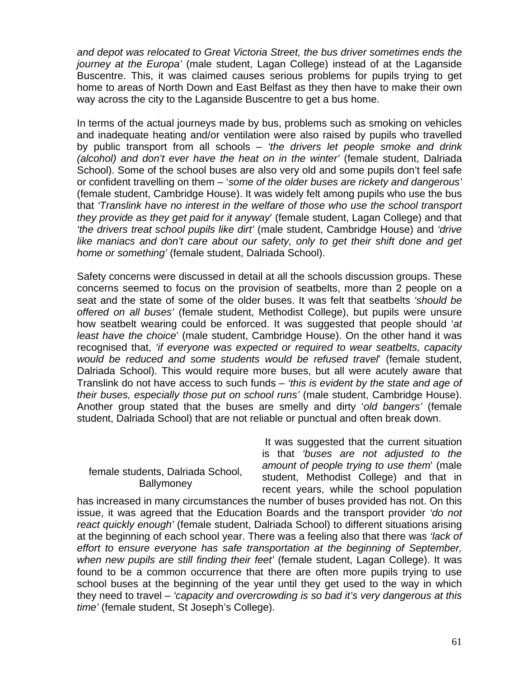*and depot was relocated to Great Victoria Street, the bus driver sometimes ends the journey at the Europa'* (male student, Lagan College) instead of at the Laganside Buscentre. This, it was claimed causes serious problems for pupils trying to get home to areas of North Down and East Belfast as they then have to make their own way across the city to the Laganside Buscentre to get a bus home.

In terms of the actual journeys made by bus, problems such as smoking on vehicles and inadequate heating and/or ventilation were also raised by pupils who travelled by public transport from all schools – *'the drivers let people smoke and drink (alcohol) and don't ever have the heat on in the winter'* (female student, Dalriada School). Some of the school buses are also very old and some pupils don't feel safe or confident travelling on them – '*some of the older buses are rickety and dangerous'*  (female student, Cambridge House). It was widely felt among pupils who use the bus that *'Translink have no interest in the welfare of those who use the school transport they provide as they get paid for it anyway*' (female student, Lagan College) and that *'the drivers treat school pupils like dirt'* (male student, Cambridge House) and *'drive*  like maniacs and don't care about our safety, only to get their shift done and get *home or something'* (female student, Dalriada School).

Safety concerns were discussed in detail at all the schools discussion groups. These concerns seemed to focus on the provision of seatbelts, more than 2 people on a seat and the state of some of the older buses. It was felt that seatbelts *'should be offered on all buses'* (female student, Methodist College), but pupils were unsure how seatbelt wearing could be enforced. It was suggested that people should '*at least have the choice*' (male student, Cambridge House). On the other hand it was recognised that, *'if everyone was expected or required to wear seatbelts, capacity would be reduced and some students would be refused travel*' (female student, Dalriada School). This would require more buses, but all were acutely aware that Translink do not have access to such funds – *'this is evident by the state and age of their buses, especially those put on school runs'* (male student, Cambridge House). Another group stated that the buses are smelly and dirty '*old bangers'* (female student, Dalriada School) that are not reliable or punctual and often break down.

#### female students, Dalriada School, **Ballymoney**

 It was suggested that the current situation is that *'buses are not adjusted to the amount of people trying to use them*' (male student, Methodist College) and that in recent years, while the school population

has increased in many circumstances the number of buses provided has not. On this issue, it was agreed that the Education Boards and the transport provider *'do not react quickly enough'* (female student, Dalriada School) to different situations arising at the beginning of each school year. There was a feeling also that there was *'lack of effort to ensure everyone has safe transportation at the beginning of September, when new pupils are still finding their feet'* (female student, Lagan College). It was found to be a common occurrence that there are often more pupils trying to use school buses at the beginning of the year until they get used to the way in which they need to travel – *'capacity and overcrowding is so bad it's very dangerous at this time'* (female student, St Joseph's College).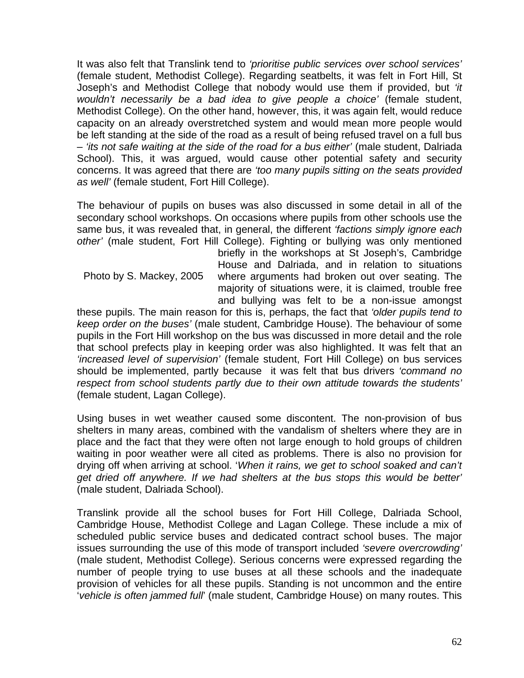It was also felt that Translink tend to *'prioritise public services over school services'* (female student, Methodist College). Regarding seatbelts, it was felt in Fort Hill, St Joseph's and Methodist College that nobody would use them if provided, but *'it wouldn't necessarily be a bad idea to give people a choice'* (female student, Methodist College). On the other hand, however, this, it was again felt, would reduce capacity on an already overstretched system and would mean more people would be left standing at the side of the road as a result of being refused travel on a full bus – *'its not safe waiting at the side of the road for a bus either'* (male student, Dalriada School). This, it was argued, would cause other potential safety and security concerns. It was agreed that there are *'too many pupils sitting on the seats provided as well'* (female student, Fort Hill College).

The behaviour of pupils on buses was also discussed in some detail in all of the secondary school workshops. On occasions where pupils from other schools use the same bus, it was revealed that, in general, the different *'factions simply ignore each other'* (male student, Fort Hill College). Fighting or bullying was only mentioned

Photo by S. Mackey, 2005

briefly in the workshops at St Joseph's, Cambridge House and Dalriada, and in relation to situations where arguments had broken out over seating. The majority of situations were, it is claimed, trouble free and bullying was felt to be a non-issue amongst

these pupils. The main reason for this is, perhaps, the fact that *'older pupils tend to keep order on the buses'* (male student, Cambridge House). The behaviour of some pupils in the Fort Hill workshop on the bus was discussed in more detail and the role that school prefects play in keeping order was also highlighted. It was felt that an *'increased level of supervision'* (female student, Fort Hill College) on bus services should be implemented, partly because it was felt that bus drivers *'command no respect from school students partly due to their own attitude towards the students'* (female student, Lagan College).

Using buses in wet weather caused some discontent. The non-provision of bus shelters in many areas, combined with the vandalism of shelters where they are in place and the fact that they were often not large enough to hold groups of children waiting in poor weather were all cited as problems. There is also no provision for drying off when arriving at school. '*When it rains, we get to school soaked and can't get dried off anywhere. If we had shelters at the bus stops this would be better'* (male student, Dalriada School).

Translink provide all the school buses for Fort Hill College, Dalriada School, Cambridge House, Methodist College and Lagan College. These include a mix of scheduled public service buses and dedicated contract school buses. The major issues surrounding the use of this mode of transport included *'severe overcrowding'* (male student, Methodist College). Serious concerns were expressed regarding the number of people trying to use buses at all these schools and the inadequate provision of vehicles for all these pupils. Standing is not uncommon and the entire '*vehicle is often jammed full*' (male student, Cambridge House) on many routes. This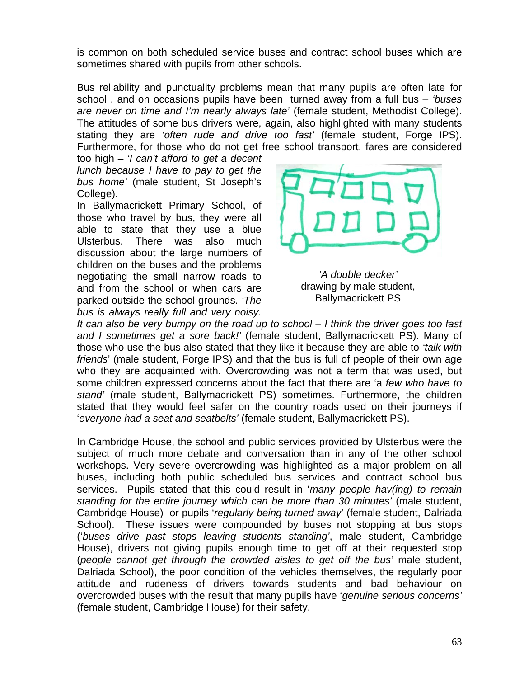is common on both scheduled service buses and contract school buses which are sometimes shared with pupils from other schools.

Bus reliability and punctuality problems mean that many pupils are often late for school , and on occasions pupils have been turned away from a full bus – *'buses are never on time and I'm nearly always late'* (female student, Methodist College). The attitudes of some bus drivers were, again, also highlighted with many students stating they are *'often rude and drive too fast'* (female student, Forge IPS). Furthermore, for those who do not get free school transport, fares are considered

too high – *'I can't afford to get a decent lunch because I have to pay to get the bus home'* (male student, St Joseph's College).

In Ballymacrickett Primary School, of those who travel by bus, they were all able to state that they use a blue Ulsterbus. There was also much discussion about the large numbers of children on the buses and the problems negotiating the small narrow roads to and from the school or when cars are parked outside the school grounds. *'The bus is always really full and very noisy.* 



*'A double decker'*  drawing by male student, Ballymacrickett PS

*It can also be very bumpy on the road up to school – I think the driver goes too fast and I sometimes get a sore back!'* (female student, Ballymacrickett PS). Many of those who use the bus also stated that they like it because they are able to *'talk with friends*' (male student, Forge IPS) and that the bus is full of people of their own age who they are acquainted with. Overcrowding was not a term that was used, but some children expressed concerns about the fact that there are 'a *few who have to stand'* (male student, Ballymacrickett PS) sometimes. Furthermore, the children stated that they would feel safer on the country roads used on their journeys if '*everyone had a seat and seatbelts'* (female student, Ballymacrickett PS).

In Cambridge House, the school and public services provided by Ulsterbus were the subject of much more debate and conversation than in any of the other school workshops. Very severe overcrowding was highlighted as a major problem on all buses, including both public scheduled bus services and contract school bus services. Pupils stated that this could result in '*many people hav(ing) to remain standing for the entire journey which can be more than 30 minutes'* (male student, Cambridge House) or pupils '*regularly being turned away*' (female student, Dalriada School). These issues were compounded by buses not stopping at bus stops ('*buses drive past stops leaving students standing'*, male student, Cambridge House), drivers not giving pupils enough time to get off at their requested stop (*people cannot get through the crowded aisles to get off the bus'* male student, Dalriada School), the poor condition of the vehicles themselves, the regularly poor attitude and rudeness of drivers towards students and bad behaviour on overcrowded buses with the result that many pupils have '*genuine serious concerns'* (female student, Cambridge House) for their safety.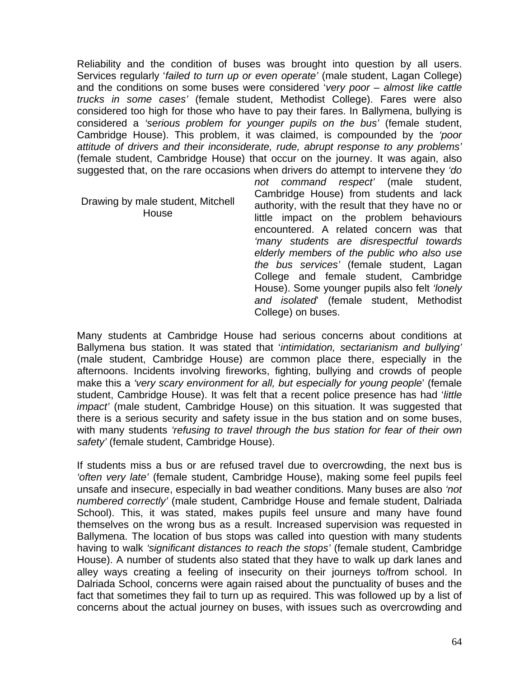Reliability and the condition of buses was brought into question by all users. Services regularly '*failed to turn up or even operate'* (male student, Lagan College) and the conditions on some buses were considered '*very poor – almost like cattle trucks in some cases'* (female student, Methodist College). Fares were also considered too high for those who have to pay their fares. In Ballymena, bullying is considered a *'serious problem for younger pupils on the bus'* (female student, Cambridge House). This problem, it was claimed, is compounded by the *'poor attitude of drivers and their inconsiderate, rude, abrupt response to any problems'* (female student, Cambridge House) that occur on the journey. It was again, also suggested that, on the rare occasions when drivers do attempt to intervene they *'do* 

Drawing by male student, Mitchell House

*not command respect'* (male student, Cambridge House) from students and lack authority, with the result that they have no or little impact on the problem behaviours encountered. A related concern was that *'many students are disrespectful towards elderly members of the public who also use the bus services'* (female student, Lagan College and female student, Cambridge House). Some younger pupils also felt *'lonely and isolated*' (female student, Methodist College) on buses.

Many students at Cambridge House had serious concerns about conditions at Ballymena bus station. It was stated that '*intimidation, sectarianism and bullying'* (male student, Cambridge House) are common place there, especially in the afternoons. Incidents involving fireworks, fighting, bullying and crowds of people make this a *'very scary environment for all, but especially for young people*' (female student, Cambridge House). It was felt that a recent police presence has had '*little impact'* (male student, Cambridge House) on this situation. It was suggested that there is a serious security and safety issue in the bus station and on some buses, with many students *'refusing to travel through the bus station for fear of their own safety'* (female student, Cambridge House).

If students miss a bus or are refused travel due to overcrowding, the next bus is *'often very late'* (female student, Cambridge House), making some feel pupils feel unsafe and insecure, especially in bad weather conditions. Many buses are also *'not numbered correctly'* (male student, Cambridge House and female student, Dalriada School). This, it was stated, makes pupils feel unsure and many have found themselves on the wrong bus as a result. Increased supervision was requested in Ballymena. The location of bus stops was called into question with many students having to walk *'significant distances to reach the stops'* (female student, Cambridge House). A number of students also stated that they have to walk up dark lanes and alley ways creating a feeling of insecurity on their journeys to/from school. In Dalriada School, concerns were again raised about the punctuality of buses and the fact that sometimes they fail to turn up as required. This was followed up by a list of concerns about the actual journey on buses, with issues such as overcrowding and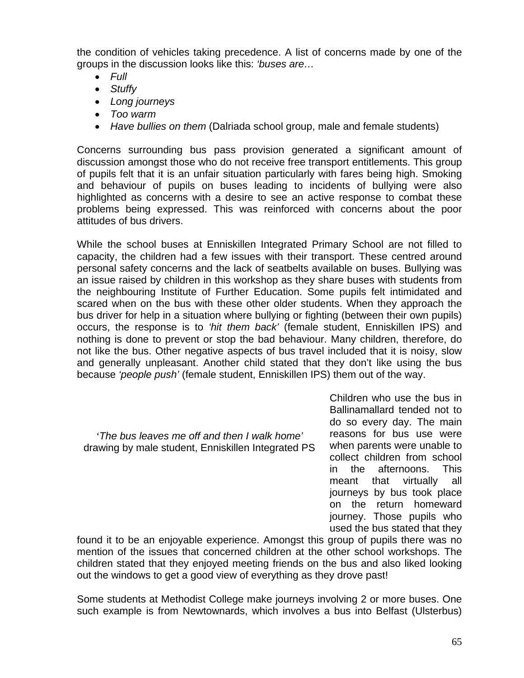the condition of vehicles taking precedence. A list of concerns made by one of the groups in the discussion looks like this: *'buses are…* 

- *Full*
- *Stuffy*
- *Long journeys*
- *Too warm*
- *Have bullies on them* (Dalriada school group, male and female students)

Concerns surrounding bus pass provision generated a significant amount of discussion amongst those who do not receive free transport entitlements. This group of pupils felt that it is an unfair situation particularly with fares being high. Smoking and behaviour of pupils on buses leading to incidents of bullying were also highlighted as concerns with a desire to see an active response to combat these problems being expressed. This was reinforced with concerns about the poor attitudes of bus drivers.

While the school buses at Enniskillen Integrated Primary School are not filled to capacity, the children had a few issues with their transport. These centred around personal safety concerns and the lack of seatbelts available on buses. Bullying was an issue raised by children in this workshop as they share buses with students from the neighbouring Institute of Further Education. Some pupils felt intimidated and scared when on the bus with these other older students. When they approach the bus driver for help in a situation where bullying or fighting (between their own pupils) occurs, the response is to *'hit them back'* (female student, Enniskillen IPS) and nothing is done to prevent or stop the bad behaviour. Many children, therefore, do not like the bus. Other negative aspects of bus travel included that it is noisy, slow and generally unpleasant. Another child stated that they don't like using the bus because *'people push'* (female student, Enniskillen IPS) them out of the way.

*'The bus leaves me off and then I walk home'* drawing by male student, Enniskillen Integrated PS

Children who use the bus in Ballinamallard tended not to do so every day. The main reasons for bus use were when parents were unable to collect children from school in the afternoons. This meant that virtually all journeys by bus took place on the return homeward journey. Those pupils who used the bus stated that they

found it to be an enjoyable experience. Amongst this group of pupils there was no mention of the issues that concerned children at the other school workshops. The children stated that they enjoyed meeting friends on the bus and also liked looking out the windows to get a good view of everything as they drove past!

Some students at Methodist College make journeys involving 2 or more buses. One such example is from Newtownards, which involves a bus into Belfast (Ulsterbus)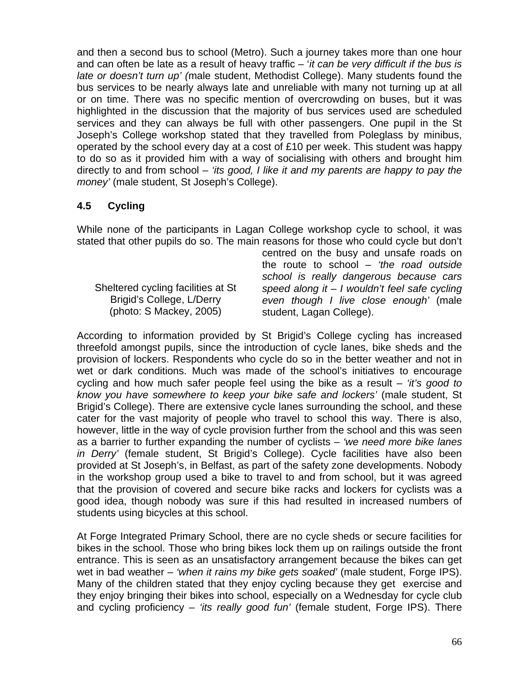and then a second bus to school (Metro). Such a journey takes more than one hour and can often be late as a result of heavy traffic – '*it can be very difficult if the bus is late or doesn't turn up' (*male student, Methodist College). Many students found the bus services to be nearly always late and unreliable with many not turning up at all or on time. There was no specific mention of overcrowding on buses, but it was highlighted in the discussion that the majority of bus services used are scheduled services and they can always be full with other passengers. One pupil in the St Joseph's College workshop stated that they travelled from Poleglass by minibus, operated by the school every day at a cost of £10 per week. This student was happy to do so as it provided him with a way of socialising with others and brought him directly to and from school – *'its good, I like it and my parents are happy to pay the money'* (male student, St Joseph's College).

# **4.5 Cycling**

While none of the participants in Lagan College workshop cycle to school, it was stated that other pupils do so. The main reasons for those who could cycle but don't

Sheltered cycling facilities at St Brigid's College, L/Derry (photo: S Mackey, 2005)

centred on the busy and unsafe roads on the route to school – *'the road outside school is really dangerous because cars speed along it – I wouldn't feel safe cycling even though I live close enough'* (male student, Lagan College).

According to information provided by St Brigid's College cycling has increased threefold amongst pupils, since the introduction of cycle lanes, bike sheds and the provision of lockers. Respondents who cycle do so in the better weather and not in wet or dark conditions. Much was made of the school's initiatives to encourage cycling and how much safer people feel using the bike as a result – *'it's good to know you have somewhere to keep your bike safe and lockers'* (male student, St Brigid's College). There are extensive cycle lanes surrounding the school, and these cater for the vast majority of people who travel to school this way. There is also, however, little in the way of cycle provision further from the school and this was seen as a barrier to further expanding the number of cyclists – *'we need more bike lanes in Derry'* (female student, St Brigid's College). Cycle facilities have also been provided at St Joseph's, in Belfast, as part of the safety zone developments. Nobody in the workshop group used a bike to travel to and from school, but it was agreed that the provision of covered and secure bike racks and lockers for cyclists was a good idea, though nobody was sure if this had resulted in increased numbers of students using bicycles at this school.

At Forge Integrated Primary School, there are no cycle sheds or secure facilities for bikes in the school. Those who bring bikes lock them up on railings outside the front entrance. This is seen as an unsatisfactory arrangement because the bikes can get wet in bad weather – *'when it rains my bike gets soaked'* (male student, Forge IPS). Many of the children stated that they enjoy cycling because they get exercise and they enjoy bringing their bikes into school, especially on a Wednesday for cycle club and cycling proficiency – *'its really good fun'* (female student, Forge IPS). There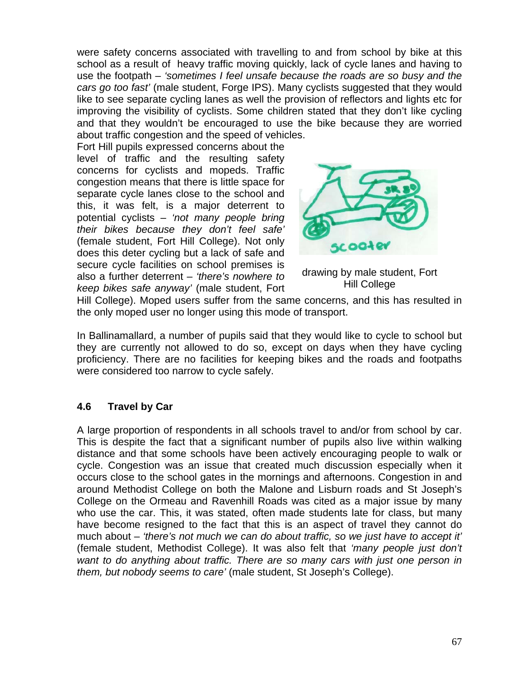were safety concerns associated with travelling to and from school by bike at this school as a result of heavy traffic moving quickly, lack of cycle lanes and having to use the footpath – *'sometimes I feel unsafe because the roads are so busy and the cars go too fast'* (male student, Forge IPS). Many cyclists suggested that they would like to see separate cycling lanes as well the provision of reflectors and lights etc for improving the visibility of cyclists. Some children stated that they don't like cycling and that they wouldn't be encouraged to use the bike because they are worried about traffic congestion and the speed of vehicles.

Fort Hill pupils expressed concerns about the level of traffic and the resulting safety concerns for cyclists and mopeds. Traffic congestion means that there is little space for separate cycle lanes close to the school and this, it was felt, is a major deterrent to potential cyclists – *'not many people bring their bikes because they don't feel safe'*  (female student, Fort Hill College). Not only does this deter cycling but a lack of safe and secure cycle facilities on school premises is also a further deterrent – *'there's nowhere to keep bikes safe anyway'* (male student, Fort



drawing by male student, Fort Hill College

Hill College). Moped users suffer from the same concerns, and this has resulted in the only moped user no longer using this mode of transport.

In Ballinamallard, a number of pupils said that they would like to cycle to school but they are currently not allowed to do so, except on days when they have cycling proficiency. There are no facilities for keeping bikes and the roads and footpaths were considered too narrow to cycle safely.

# **4.6 Travel by Car**

A large proportion of respondents in all schools travel to and/or from school by car. This is despite the fact that a significant number of pupils also live within walking distance and that some schools have been actively encouraging people to walk or cycle. Congestion was an issue that created much discussion especially when it occurs close to the school gates in the mornings and afternoons. Congestion in and around Methodist College on both the Malone and Lisburn roads and St Joseph's College on the Ormeau and Ravenhill Roads was cited as a major issue by many who use the car. This, it was stated, often made students late for class, but many have become resigned to the fact that this is an aspect of travel they cannot do much about – *'there's not much we can do about traffic, so we just have to accept it'*  (female student, Methodist College). It was also felt that *'many people just don't want to do anything about traffic. There are so many cars with just one person in them, but nobody seems to care'* (male student, St Joseph's College).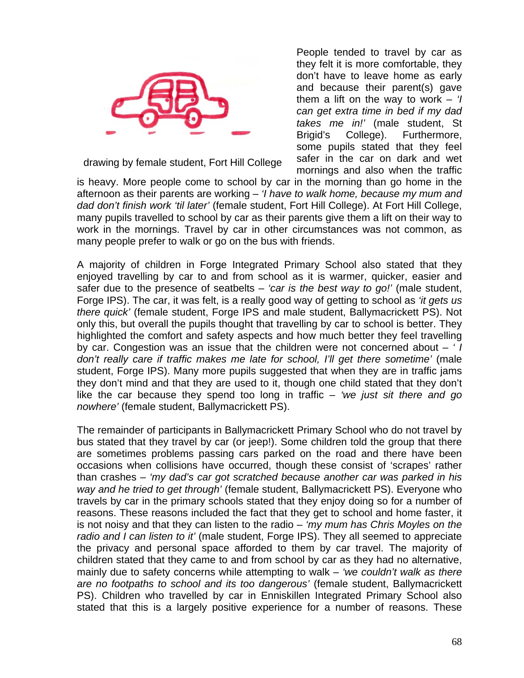

drawing by female student, Fort Hill College

People tended to travel by car as they felt it is more comfortable, they don't have to leave home as early and because their parent(s) gave them a lift on the way to work – *'I can get extra time in bed if my dad takes me in!'* (male student, St Brigid's College). Furthermore, some pupils stated that they feel safer in the car on dark and wet mornings and also when the traffic

is heavy. More people come to school by car in the morning than go home in the afternoon as their parents are working – *'I have to walk home, because my mum and dad don't finish work 'til later'* (female student, Fort Hill College). At Fort Hill College, many pupils travelled to school by car as their parents give them a lift on their way to work in the mornings. Travel by car in other circumstances was not common, as many people prefer to walk or go on the bus with friends.

A majority of children in Forge Integrated Primary School also stated that they enjoyed travelling by car to and from school as it is warmer, quicker, easier and safer due to the presence of seatbelts – *'car is the best way to go!'* (male student, Forge IPS). The car, it was felt, is a really good way of getting to school as *'it gets us there quick'* (female student, Forge IPS and male student, Ballymacrickett PS). Not only this, but overall the pupils thought that travelling by car to school is better. They highlighted the comfort and safety aspects and how much better they feel travelling by car. Congestion was an issue that the children were not concerned about – *' I don't really care if traffic makes me late for school, I'll get there sometime'* (male student, Forge IPS). Many more pupils suggested that when they are in traffic jams they don't mind and that they are used to it, though one child stated that they don't like the car because they spend too long in traffic – *'we just sit there and go nowhere'* (female student, Ballymacrickett PS).

The remainder of participants in Ballymacrickett Primary School who do not travel by bus stated that they travel by car (or jeep!). Some children told the group that there are sometimes problems passing cars parked on the road and there have been occasions when collisions have occurred, though these consist of 'scrapes' rather than crashes – *'my dad's car got scratched because another car was parked in his way and he tried to get through'* (female student, Ballymacrickett PS). Everyone who travels by car in the primary schools stated that they enjoy doing so for a number of reasons. These reasons included the fact that they get to school and home faster, it is not noisy and that they can listen to the radio – *'my mum has Chris Moyles on the radio and I can listen to it'* (male student, Forge IPS). They all seemed to appreciate the privacy and personal space afforded to them by car travel. The majority of children stated that they came to and from school by car as they had no alternative, mainly due to safety concerns while attempting to walk – *'we couldn't walk as there are no footpaths to school and its too dangerous'* (female student, Ballymacrickett PS). Children who travelled by car in Enniskillen Integrated Primary School also stated that this is a largely positive experience for a number of reasons. These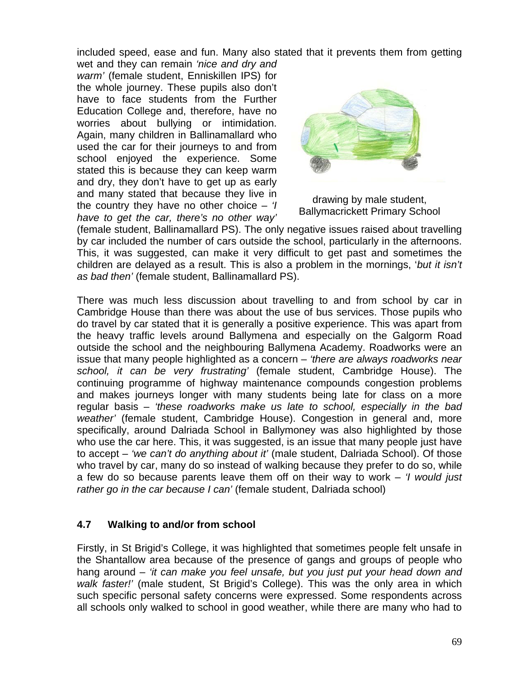included speed, ease and fun. Many also stated that it prevents them from getting

wet and they can remain *'nice and dry and warm'* (female student, Enniskillen IPS) for the whole journey. These pupils also don't have to face students from the Further Education College and, therefore, have no worries about bullying or intimidation. Again, many children in Ballinamallard who used the car for their journeys to and from school enjoyed the experience. Some stated this is because they can keep warm and dry, they don't have to get up as early and many stated that because they live in the country they have no other choice – *'I have to get the car, there's no other way'* 



drawing by male student, Ballymacrickett Primary School

(female student, Ballinamallard PS). The only negative issues raised about travelling by car included the number of cars outside the school, particularly in the afternoons. This, it was suggested, can make it very difficult to get past and sometimes the children are delayed as a result. This is also a problem in the mornings, '*but it isn't as bad then'* (female student, Ballinamallard PS).

There was much less discussion about travelling to and from school by car in Cambridge House than there was about the use of bus services. Those pupils who do travel by car stated that it is generally a positive experience. This was apart from the heavy traffic levels around Ballymena and especially on the Galgorm Road outside the school and the neighbouring Ballymena Academy. Roadworks were an issue that many people highlighted as a concern – *'there are always roadworks near school, it can be very frustrating'* (female student, Cambridge House). The continuing programme of highway maintenance compounds congestion problems and makes journeys longer with many students being late for class on a more regular basis – *'these roadworks make us late to school, especially in the bad weather'* (female student, Cambridge House). Congestion in general and, more specifically, around Dalriada School in Ballymoney was also highlighted by those who use the car here. This, it was suggested, is an issue that many people just have to accept – *'we can't do anything about it'* (male student, Dalriada School). Of those who travel by car, many do so instead of walking because they prefer to do so, while a few do so because parents leave them off on their way to work – *'I would just rather go in the car because I can'* (female student, Dalriada school)

# **4.7 Walking to and/or from school**

Firstly, in St Brigid's College, it was highlighted that sometimes people felt unsafe in the Shantallow area because of the presence of gangs and groups of people who hang around – *'it can make you feel unsafe, but you just put your head down and walk faster!'* (male student, St Brigid's College). This was the only area in which such specific personal safety concerns were expressed. Some respondents across all schools only walked to school in good weather, while there are many who had to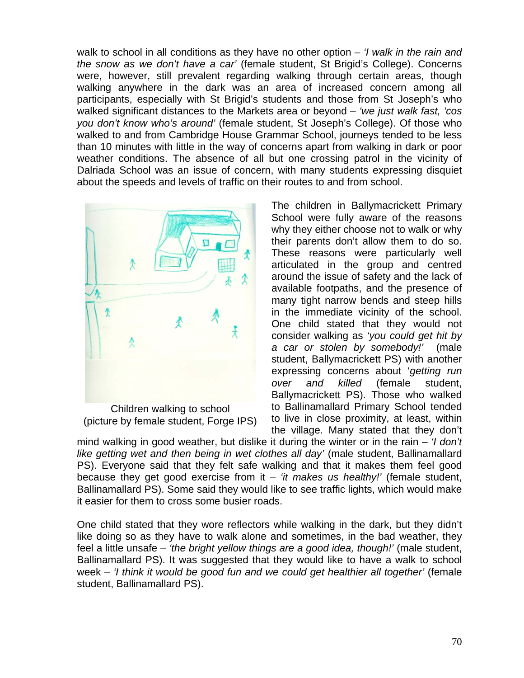walk to school in all conditions as they have no other option – *'I walk in the rain and the snow as we don't have a car'* (female student, St Brigid's College). Concerns were, however, still prevalent regarding walking through certain areas, though walking anywhere in the dark was an area of increased concern among all participants, especially with St Brigid's students and those from St Joseph's who walked significant distances to the Markets area or beyond – *'we just walk fast, 'cos you don't know who's around'* (female student, St Joseph's College). Of those who walked to and from Cambridge House Grammar School, journeys tended to be less than 10 minutes with little in the way of concerns apart from walking in dark or poor weather conditions. The absence of all but one crossing patrol in the vicinity of Dalriada School was an issue of concern, with many students expressing disquiet about the speeds and levels of traffic on their routes to and from school.



Children walking to school (picture by female student, Forge IPS)

The children in Ballymacrickett Primary School were fully aware of the reasons why they either choose not to walk or why their parents don't allow them to do so. These reasons were particularly well articulated in the group and centred around the issue of safety and the lack of available footpaths, and the presence of many tight narrow bends and steep hills in the immediate vicinity of the school. One child stated that they would not consider walking as *'you could get hit by a car or stolen by somebody!'* (male student, Ballymacrickett PS) with another expressing concerns about '*getting run over and killed* (female student, Ballymacrickett PS). Those who walked to Ballinamallard Primary School tended to live in close proximity, at least, within the village. Many stated that they don't

mind walking in good weather, but dislike it during the winter or in the rain – *'I don't*  like getting wet and then being in wet clothes all day' (male student, Ballinamallard PS). Everyone said that they felt safe walking and that it makes them feel good because they get good exercise from it – *'it makes us healthy!'* (female student, Ballinamallard PS). Some said they would like to see traffic lights, which would make it easier for them to cross some busier roads.

One child stated that they wore reflectors while walking in the dark, but they didn't like doing so as they have to walk alone and sometimes, in the bad weather, they feel a little unsafe – *'the bright yellow things are a good idea, though!'* (male student, Ballinamallard PS). It was suggested that they would like to have a walk to school week – *'I think it would be good fun and we could get healthier all together'* (female student, Ballinamallard PS).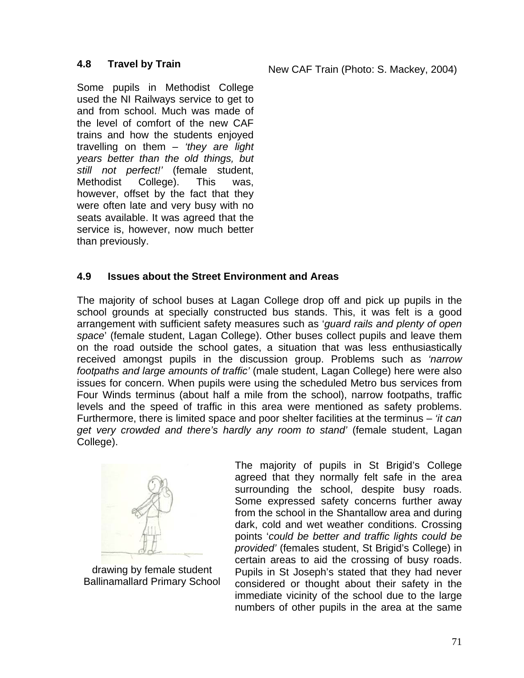# **4.8 Travel by Train**

New CAF Train (Photo: S. Mackey, 2004)

Some pupils in Methodist College used the NI Railways service to get to and from school. Much was made of the level of comfort of the new CAF trains and how the students enjoyed travelling on them – *'they are light years better than the old things, but still not perfect!'* (female student, Methodist College). This was, however, offset by the fact that they were often late and very busy with no seats available. It was agreed that the service is, however, now much better than previously.

# **4.9 Issues about the Street Environment and Areas**

The majority of school buses at Lagan College drop off and pick up pupils in the school grounds at specially constructed bus stands. This, it was felt is a good arrangement with sufficient safety measures such as '*guard rails and plenty of open space*' (female student, Lagan College). Other buses collect pupils and leave them on the road outside the school gates, a situation that was less enthusiastically received amongst pupils in the discussion group. Problems such as *'narrow footpaths and large amounts of traffic'* (male student, Lagan College) here were also issues for concern. When pupils were using the scheduled Metro bus services from Four Winds terminus (about half a mile from the school), narrow footpaths, traffic levels and the speed of traffic in this area were mentioned as safety problems. Furthermore, there is limited space and poor shelter facilities at the terminus – *'it can get very crowded and there's hardly any room to stand'* (female student, Lagan College).



drawing by female student Ballinamallard Primary School

The majority of pupils in St Brigid's College agreed that they normally felt safe in the area surrounding the school, despite busy roads. Some expressed safety concerns further away from the school in the Shantallow area and during dark, cold and wet weather conditions. Crossing points '*could be better and traffic lights could be provided'* (females student, St Brigid's College) in certain areas to aid the crossing of busy roads. Pupils in St Joseph's stated that they had never considered or thought about their safety in the immediate vicinity of the school due to the large numbers of other pupils in the area at the same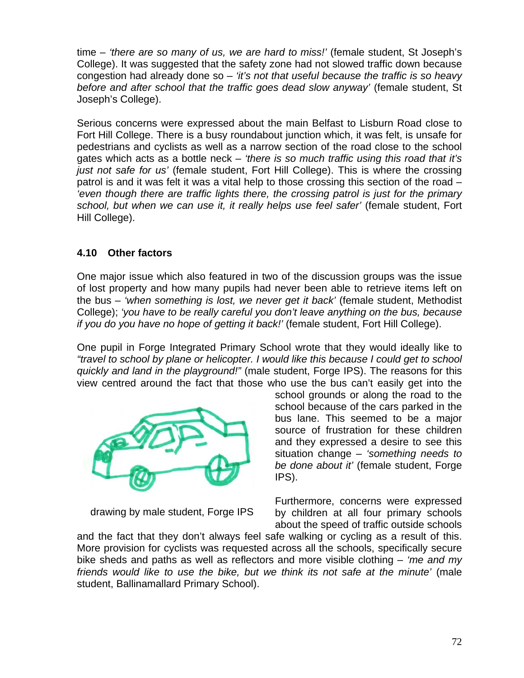time – *'there are so many of us, we are hard to miss!'* (female student, St Joseph's College). It was suggested that the safety zone had not slowed traffic down because congestion had already done so – *'it's not that useful because the traffic is so heavy before and after school that the traffic goes dead slow anyway'* (female student, St Joseph's College).

Serious concerns were expressed about the main Belfast to Lisburn Road close to Fort Hill College. There is a busy roundabout junction which, it was felt, is unsafe for pedestrians and cyclists as well as a narrow section of the road close to the school gates which acts as a bottle neck – *'there is so much traffic using this road that it's just not safe for us'* (female student, Fort Hill College). This is where the crossing patrol is and it was felt it was a vital help to those crossing this section of the road – *'even though there are traffic lights there, the crossing patrol is just for the primary school, but when we can use it, it really helps use feel safer'* (female student, Fort Hill College).

# **4.10 Other factors**

One major issue which also featured in two of the discussion groups was the issue of lost property and how many pupils had never been able to retrieve items left on the bus – *'when something is lost, we never get it back'* (female student, Methodist College); *'you have to be really careful you don't leave anything on the bus, because if you do you have no hope of getting it back!'* (female student, Fort Hill College).

One pupil in Forge Integrated Primary School wrote that they would ideally like to *"travel to school by plane or helicopter. I would like this because I could get to school quickly and land in the playground!"* (male student, Forge IPS). The reasons for this view centred around the fact that those who use the bus can't easily get into the



drawing by male student, Forge IPS

school grounds or along the road to the school because of the cars parked in the bus lane. This seemed to be a major source of frustration for these children and they expressed a desire to see this situation change – *'something needs to be done about it'* (female student, Forge IPS).

Furthermore, concerns were expressed by children at all four primary schools about the speed of traffic outside schools

and the fact that they don't always feel safe walking or cycling as a result of this. More provision for cyclists was requested across all the schools, specifically secure bike sheds and paths as well as reflectors and more visible clothing – *'me and my friends would like to use the bike, but we think its not safe at the minute'* (male student, Ballinamallard Primary School).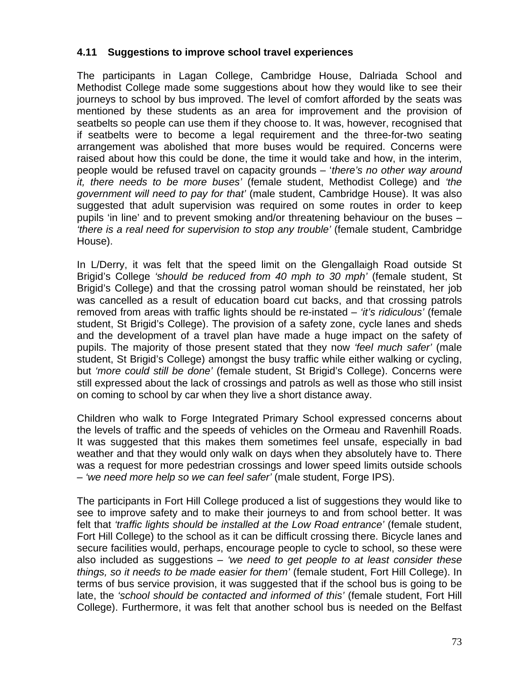#### **4.11 Suggestions to improve school travel experiences**

The participants in Lagan College, Cambridge House, Dalriada School and Methodist College made some suggestions about how they would like to see their journeys to school by bus improved. The level of comfort afforded by the seats was mentioned by these students as an area for improvement and the provision of seatbelts so people can use them if they choose to. It was, however, recognised that if seatbelts were to become a legal requirement and the three-for-two seating arrangement was abolished that more buses would be required. Concerns were raised about how this could be done, the time it would take and how, in the interim, people would be refused travel on capacity grounds – '*there's no other way around it, there needs to be more buses'* (female student, Methodist College) and *'the government will need to pay for that'* (male student, Cambridge House). It was also suggested that adult supervision was required on some routes in order to keep pupils 'in line' and to prevent smoking and/or threatening behaviour on the buses – *'there is a real need for supervision to stop any trouble'* (female student, Cambridge House).

In L/Derry, it was felt that the speed limit on the Glengallaigh Road outside St Brigid's College *'should be reduced from 40 mph to 30 mph'* (female student, St Brigid's College) and that the crossing patrol woman should be reinstated, her job was cancelled as a result of education board cut backs, and that crossing patrols removed from areas with traffic lights should be re-instated – *'it's ridiculous'* (female student, St Brigid's College). The provision of a safety zone, cycle lanes and sheds and the development of a travel plan have made a huge impact on the safety of pupils. The majority of those present stated that they now *'feel much safer'* (male student, St Brigid's College) amongst the busy traffic while either walking or cycling, but *'more could still be done'* (female student, St Brigid's College). Concerns were still expressed about the lack of crossings and patrols as well as those who still insist on coming to school by car when they live a short distance away.

Children who walk to Forge Integrated Primary School expressed concerns about the levels of traffic and the speeds of vehicles on the Ormeau and Ravenhill Roads. It was suggested that this makes them sometimes feel unsafe, especially in bad weather and that they would only walk on days when they absolutely have to. There was a request for more pedestrian crossings and lower speed limits outside schools – *'we need more help so we can feel safer'* (male student, Forge IPS).

The participants in Fort Hill College produced a list of suggestions they would like to see to improve safety and to make their journeys to and from school better. It was felt that *'traffic lights should be installed at the Low Road entrance'* (female student, Fort Hill College) to the school as it can be difficult crossing there. Bicycle lanes and secure facilities would, perhaps, encourage people to cycle to school, so these were also included as suggestions – *'we need to get people to at least consider these things, so it needs to be made easier for them'* (female student, Fort Hill College). In terms of bus service provision, it was suggested that if the school bus is going to be late, the *'school should be contacted and informed of this'* (female student, Fort Hill College). Furthermore, it was felt that another school bus is needed on the Belfast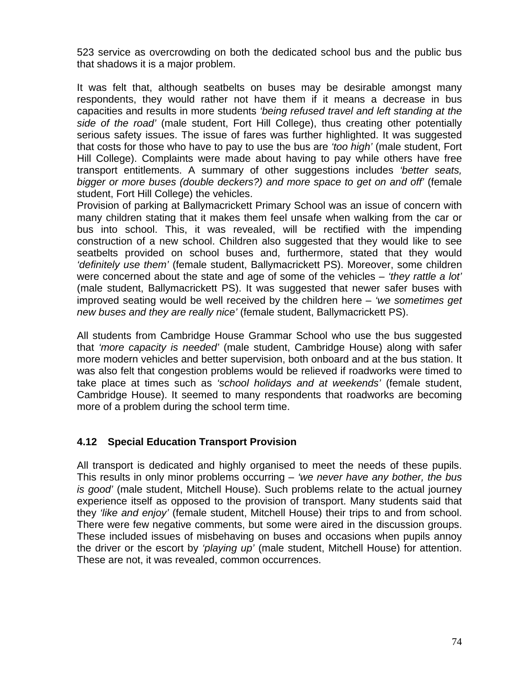523 service as overcrowding on both the dedicated school bus and the public bus that shadows it is a major problem.

It was felt that, although seatbelts on buses may be desirable amongst many respondents, they would rather not have them if it means a decrease in bus capacities and results in more students *'being refused travel and left standing at the side of the road'* (male student, Fort Hill College), thus creating other potentially serious safety issues. The issue of fares was further highlighted. It was suggested that costs for those who have to pay to use the bus are *'too high'* (male student, Fort Hill College). Complaints were made about having to pay while others have free transport entitlements. A summary of other suggestions includes *'better seats, bigger or more buses (double deckers?) and more space to get on and off'* (female student, Fort Hill College) the vehicles.

Provision of parking at Ballymacrickett Primary School was an issue of concern with many children stating that it makes them feel unsafe when walking from the car or bus into school. This, it was revealed, will be rectified with the impending construction of a new school. Children also suggested that they would like to see seatbelts provided on school buses and, furthermore, stated that they would *'definitely use them'* (female student, Ballymacrickett PS). Moreover, some children were concerned about the state and age of some of the vehicles – *'they rattle a lot'*  (male student, Ballymacrickett PS). It was suggested that newer safer buses with improved seating would be well received by the children here – *'we sometimes get new buses and they are really nice'* (female student, Ballymacrickett PS).

All students from Cambridge House Grammar School who use the bus suggested that *'more capacity is needed'* (male student, Cambridge House) along with safer more modern vehicles and better supervision, both onboard and at the bus station. It was also felt that congestion problems would be relieved if roadworks were timed to take place at times such as *'school holidays and at weekends'* (female student, Cambridge House). It seemed to many respondents that roadworks are becoming more of a problem during the school term time.

# **4.12 Special Education Transport Provision**

All transport is dedicated and highly organised to meet the needs of these pupils. This results in only minor problems occurring – *'we never have any bother, the bus is good'* (male student, Mitchell House). Such problems relate to the actual journey experience itself as opposed to the provision of transport. Many students said that they *'like and enjoy'* (female student, Mitchell House) their trips to and from school. There were few negative comments, but some were aired in the discussion groups. These included issues of misbehaving on buses and occasions when pupils annoy the driver or the escort by *'playing up'* (male student, Mitchell House) for attention. These are not, it was revealed, common occurrences.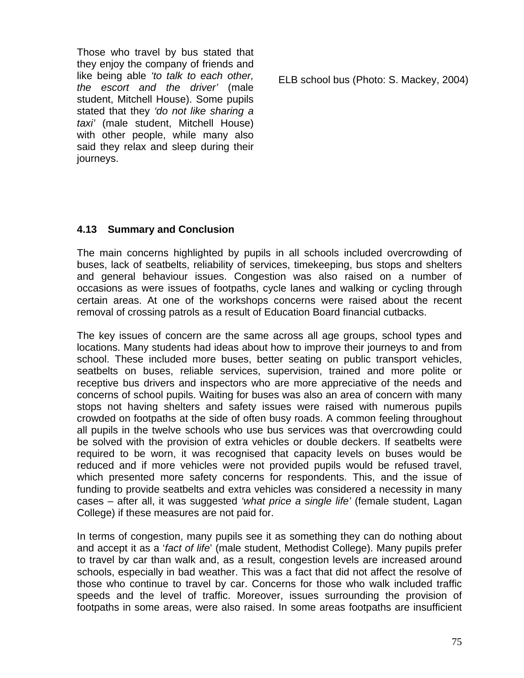Those who travel by bus stated that they enjoy the company of friends and like being able *'to talk to each other, the escort and the driver'* (male student, Mitchell House). Some pupils stated that they *'do not like sharing a taxi'* (male student, Mitchell House) with other people, while many also said they relax and sleep during their journeys.

ELB school bus (Photo: S. Mackey, 2004)

# **4.13 Summary and Conclusion**

The main concerns highlighted by pupils in all schools included overcrowding of buses, lack of seatbelts, reliability of services, timekeeping, bus stops and shelters and general behaviour issues. Congestion was also raised on a number of occasions as were issues of footpaths, cycle lanes and walking or cycling through certain areas. At one of the workshops concerns were raised about the recent removal of crossing patrols as a result of Education Board financial cutbacks.

The key issues of concern are the same across all age groups, school types and locations. Many students had ideas about how to improve their journeys to and from school. These included more buses, better seating on public transport vehicles, seatbelts on buses, reliable services, supervision, trained and more polite or receptive bus drivers and inspectors who are more appreciative of the needs and concerns of school pupils. Waiting for buses was also an area of concern with many stops not having shelters and safety issues were raised with numerous pupils crowded on footpaths at the side of often busy roads. A common feeling throughout all pupils in the twelve schools who use bus services was that overcrowding could be solved with the provision of extra vehicles or double deckers. If seatbelts were required to be worn, it was recognised that capacity levels on buses would be reduced and if more vehicles were not provided pupils would be refused travel, which presented more safety concerns for respondents. This, and the issue of funding to provide seatbelts and extra vehicles was considered a necessity in many cases – after all, it was suggested *'what price a single life'* (female student, Lagan College) if these measures are not paid for.

In terms of congestion, many pupils see it as something they can do nothing about and accept it as a '*fact of life*' (male student, Methodist College). Many pupils prefer to travel by car than walk and, as a result, congestion levels are increased around schools, especially in bad weather. This was a fact that did not affect the resolve of those who continue to travel by car. Concerns for those who walk included traffic speeds and the level of traffic. Moreover, issues surrounding the provision of footpaths in some areas, were also raised. In some areas footpaths are insufficient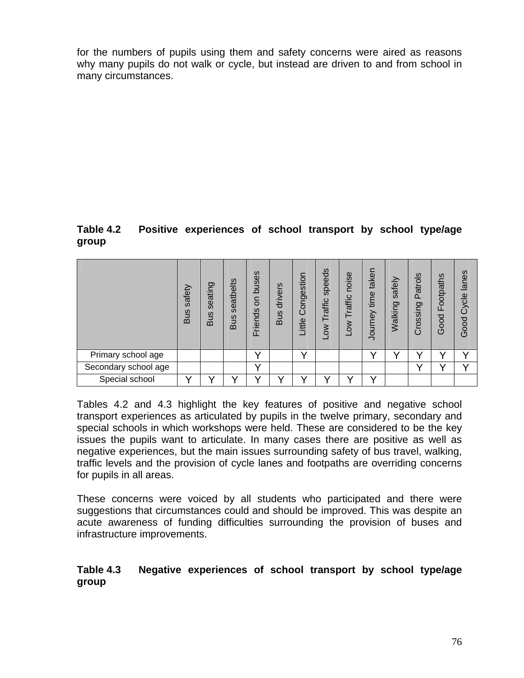for the numbers of pupils using them and safety concerns were aired as reasons why many pupils do not walk or cycle, but instead are driven to and from school in many circumstances.

#### **Table 4.2 Positive experiences of school transport by school type/age group**

|                      | safety<br><b>Bus</b> | seating<br><b>Bus</b> | seatbelts<br><b>Bus</b> | buses<br>S<br>Friends | drivers<br><b>Bus</b> | Congestion<br>Little | speeds<br>Traffic<br><b>NOT</b> | noise<br>Traffic<br>δN <sub>0</sub> | taken<br>time<br>Journey | safely<br>Walking | <b>Patrols</b><br>Crossing | Footpaths<br>Good | lanes<br>Good Cycle |
|----------------------|----------------------|-----------------------|-------------------------|-----------------------|-----------------------|----------------------|---------------------------------|-------------------------------------|--------------------------|-------------------|----------------------------|-------------------|---------------------|
| Primary school age   |                      |                       |                         | v                     |                       | v                    |                                 |                                     |                          | $\checkmark$      |                            |                   | v                   |
| Secondary school age |                      |                       |                         | v                     |                       |                      |                                 |                                     |                          |                   |                            | v                 | $\checkmark$        |
| Special school       |                      |                       |                         |                       |                       |                      |                                 |                                     |                          |                   |                            |                   |                     |

Tables 4.2 and 4.3 highlight the key features of positive and negative school transport experiences as articulated by pupils in the twelve primary, secondary and special schools in which workshops were held. These are considered to be the key issues the pupils want to articulate. In many cases there are positive as well as negative experiences, but the main issues surrounding safety of bus travel, walking, traffic levels and the provision of cycle lanes and footpaths are overriding concerns for pupils in all areas.

These concerns were voiced by all students who participated and there were suggestions that circumstances could and should be improved. This was despite an acute awareness of funding difficulties surrounding the provision of buses and infrastructure improvements.

#### **Table 4.3 Negative experiences of school transport by school type/age group**